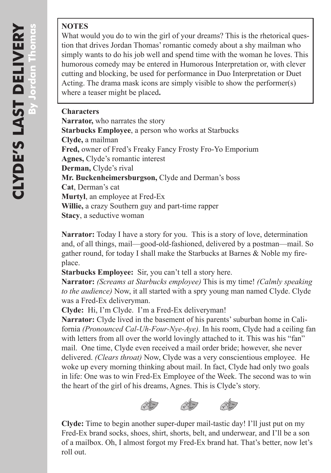#### **NOTES**

What would you do to win the girl of your dreams? This is the rhetorical ques tion that drives Jordan Thomas' romantic comedy about a shy mailman who simply wants to do his job well and spend time with the woman he loves. This humorous comedy may be entered in Humorous Interpretation or, with clever cutting and blocking, be used for performance in Duo Interpretation or Duet Acting. The drama mask icons are simply visible to show the performer(s) where a teaser might be placed**.** 

#### **Characters**

**Narrator,** who narrates the story **Starbucks Employee**, a person who works at Starbucks **Clyde,** a mailman **Fred,** owner of Fred's Freaky Fancy Frosty Fro-Yo Emporium **Agnes,** Clyde's romantic interest **Derman,** Clyde's rival **Mr. Buckenheimersburgson,** Clyde and Derman's boss **Cat**, Derman's cat **Murtyl**, an employee at Fred-Ex **Willie,** a crazy Southern guy and part-time rapper **Stacy**, a seductive woman

**Narrator:** Today I have a story for you. This is a story of love, determination and, of all things, mail—good-old-fashioned, delivered by a postman—mail. So gather round, for today I shall make the Starbucks at Barnes & Noble my fireplace.

**Starbucks Employee:** Sir, you can't tell a story here.

**Narrator:** *(Screams at Starbucks employee)* This is my time! *(Calmly speaking to the audience)* Now, it all started with a spry young man named Clyde. Clyde was a Fred-Ex deliveryman.

**Clyde:** Hi, I'm Clyde. I'm a Fred-Ex deliveryman!

**Narrator:** Clyde lived in the basement of his parents' suburban home in Cali fornia *(Pronounced Cal-Uh-Four-Nye-Aye).* In his room, Clyde had a ceiling fan with letters from all over the world lovingly attached to it. This was his "fan" mail. One time, Clyde even received a mail order bride; however, she never delivered. *(Clears throat)* Now, Clyde was a very conscientious employee. He woke up every morning thinking about mail. In fact, Clyde had only two goals in life: One was to win Fred-Ex Employee of the Week. The second was to win the heart of the girl of his dreams, Agnes. This is Clyde's story.



**Clyde:** Time to begin another super-duper mail-tastic day! I'll just put on my Fred-Ex brand socks, shoes, shirt, shorts, belt, and underwear, and I'll be a son of a mailbox. Oh, I almost forgot my Fred-Ex brand hat. That's better, now let's roll out.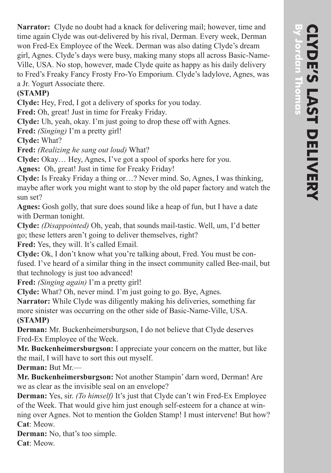**Narrator:** Clyde no doubt had a knack for delivering mail; however, time and time again Clyde was out-delivered by his rival, Derman. Every week, Derman won Fred-Ex Employee of the Week. Derman was also dating Clyde's dream girl, Agnes. Clyde's days were busy, making many stops all across Basic-Name-Ville, USA. No stop, however, made Clyde quite as happy as his daily delivery to Fred's Freaky Fancy Frosty Fro-Yo Emporium. Clyde's ladylove, Agnes, was a Jr. Yogurt Associate there.

### **(STAMP)**

**Clyde:** Hey, Fred, I got a delivery of sporks for you today.

**Fred:** Oh, great! Just in time for Freaky Friday.

**Clyde:** Uh, yeah, okay. I'm just going to drop these off with Agnes.

**Fred:** *(Singing)* I'm a pretty girl!

**Clyde:** What?

**Fred:** *(Realizing he sang out loud)* What?

**Clyde:** Okay… Hey, Agnes, I've got a spool of sporks here for you.

**Agnes:** Oh, great! Just in time for Freaky Friday!

**Clyde:** Is Freaky Friday a thing or…? Never mind. So, Agnes, I was thinking, maybe after work you might want to stop by the old paper factory and watch the sun set?

**Agnes:** Gosh golly, that sure does sound like a heap of fun, but I have a date with Derman tonight.

**Clyde:** *(Disappointed)* Oh, yeah, that sounds mail-tastic. Well, um, I'd better go; these letters aren't going to deliver themselves, right?

**Fred:** Yes, they will. It's called Email.

**Clyde:** Ok, I don't know what you're talking about, Fred. You must be con fused. I've heard of a similar thing in the insect community called Bee-mail, but that technology is just too advanced!

**Fred:** *(Singing again)* I'm a pretty girl!

**Clyde:** What? Oh, never mind. I'm just going to go. Bye, Agnes.

**Narrator:** While Clyde was diligently making his deliveries, something far more sinister was occurring on the other side of Basic-Name-Ville, USA. **(STAMP)**

**Derman:** Mr. Buckenheimersburgson, I do not believe that Clyde deserves Fred-Ex Employee of the Week.

**Mr. Buckenheimersburgson:** I appreciate your concern on the matter, but like the mail, I will have to sort this out myself.

**Derman:** But Mr.—

**Mr. Buckenheimersburgson:** Not another Stampin' darn word, Derman! Are we as clear as the invisible seal on an envelope?

**Derman:** Yes, sir. *(To himself)* It's just that Clyde can't win Fred-Ex Employee of the Week. That would give him just enough self-esteem for a chance at win ning over Agnes. Not to mention the Golden Stamp! I must intervene! But how? **Cat**: Meow.

**Derman:** No, that's too simple. **Cat**: Meow.